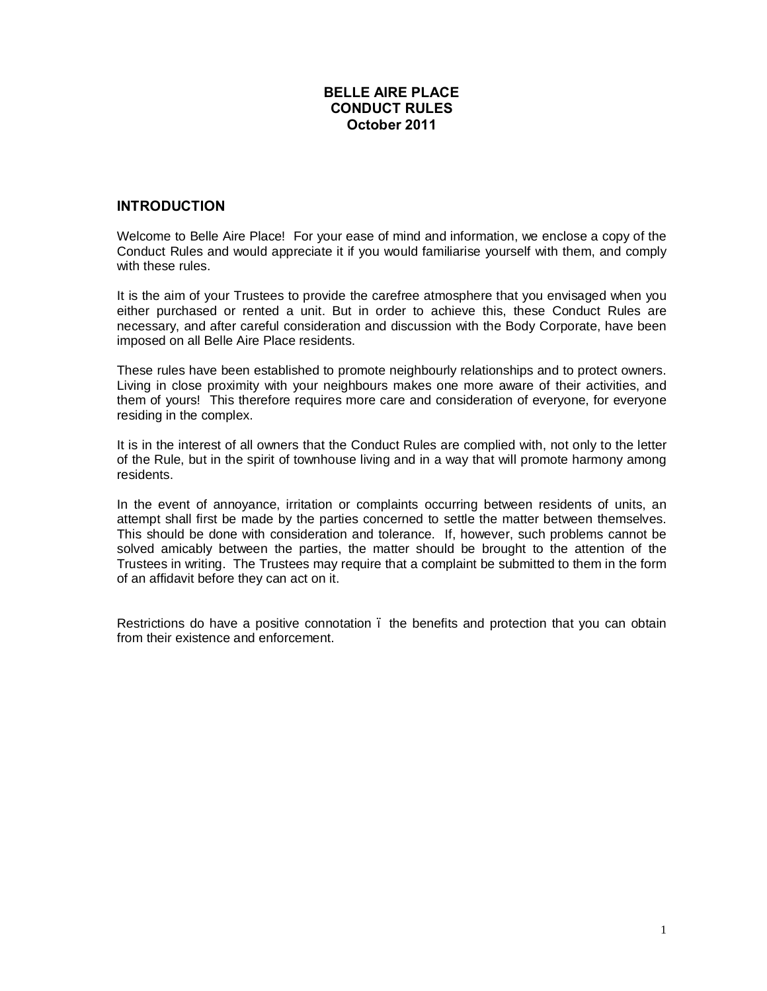# **BELLE AIRE PLACE CONDUCT RULES October 2011**

# **INTRODUCTION**

Welcome to Belle Aire Place! For your ease of mind and information, we enclose a copy of the Conduct Rules and would appreciate it if you would familiarise yourself with them, and comply with these rules

It is the aim of your Trustees to provide the carefree atmosphere that you envisaged when you either purchased or rented a unit. But in order to achieve this, these Conduct Rules are necessary, and after careful consideration and discussion with the Body Corporate, have been imposed on all Belle Aire Place residents.

These rules have been established to promote neighbourly relationships and to protect owners. Living in close proximity with your neighbours makes one more aware of their activities, and them of yours! This therefore requires more care and consideration of everyone, for everyone residing in the complex.

It is in the interest of all owners that the Conduct Rules are complied with, not only to the letter of the Rule, but in the spirit of townhouse living and in a way that will promote harmony among residents.

In the event of annoyance, irritation or complaints occurring between residents of units, an attempt shall first be made by the parties concerned to settle the matter between themselves. This should be done with consideration and tolerance. If, however, such problems cannot be solved amicably between the parties, the matter should be brought to the attention of the Trustees in writing. The Trustees may require that a complaint be submitted to them in the form of an affidavit before they can act on it.

Restrictions do have a positive connotation . the benefits and protection that you can obtain from their existence and enforcement.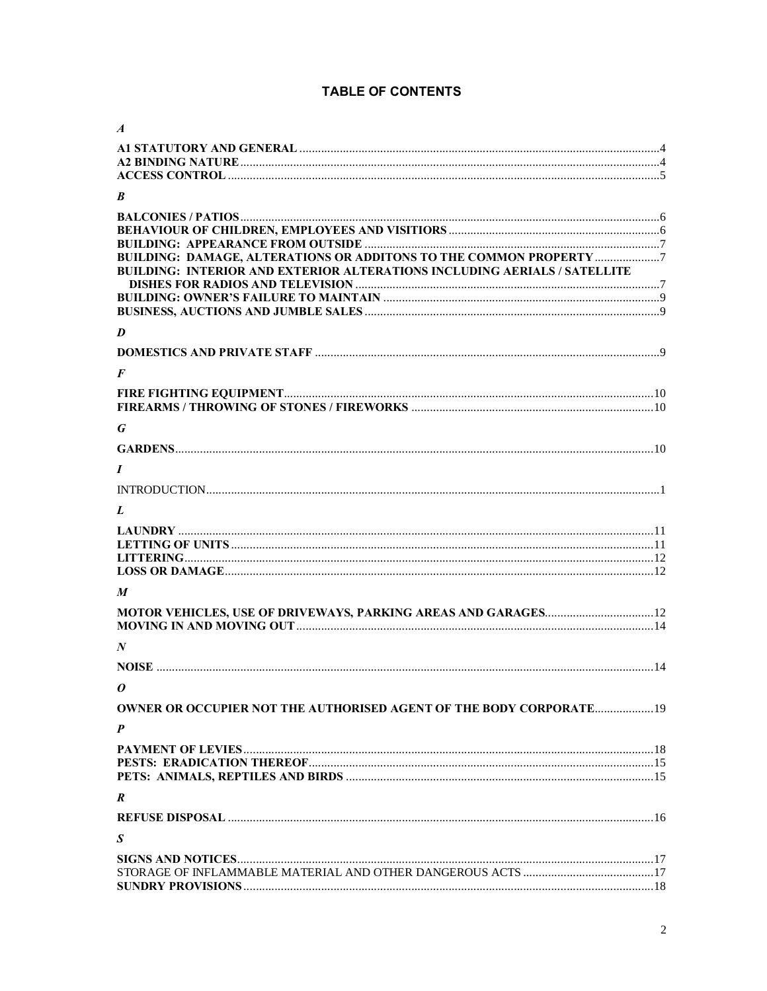# **TABLE OF CONTENTS**

| $\boldsymbol{A}$                                                                                                                                |  |
|-------------------------------------------------------------------------------------------------------------------------------------------------|--|
|                                                                                                                                                 |  |
|                                                                                                                                                 |  |
|                                                                                                                                                 |  |
| B                                                                                                                                               |  |
|                                                                                                                                                 |  |
|                                                                                                                                                 |  |
|                                                                                                                                                 |  |
| BUILDING: DAMAGE, ALTERATIONS OR ADDITONS TO THE COMMON PROPERTY 7<br>BUILDING: INTERIOR AND EXTERIOR ALTERATIONS INCLUDING AERIALS / SATELLITE |  |
|                                                                                                                                                 |  |
|                                                                                                                                                 |  |
| D                                                                                                                                               |  |
|                                                                                                                                                 |  |
| $\bm{F}$                                                                                                                                        |  |
|                                                                                                                                                 |  |
|                                                                                                                                                 |  |
|                                                                                                                                                 |  |
| G                                                                                                                                               |  |
|                                                                                                                                                 |  |
| $\boldsymbol{I}$                                                                                                                                |  |
|                                                                                                                                                 |  |
| L                                                                                                                                               |  |
|                                                                                                                                                 |  |
|                                                                                                                                                 |  |
|                                                                                                                                                 |  |
|                                                                                                                                                 |  |
| M                                                                                                                                               |  |
|                                                                                                                                                 |  |
|                                                                                                                                                 |  |
| N                                                                                                                                               |  |
|                                                                                                                                                 |  |
|                                                                                                                                                 |  |
| 0                                                                                                                                               |  |
| <b>OWNER OR OCCUPIER NOT THE AUTHORISED AGENT OF THE BODY CORPORATE 19</b>                                                                      |  |
| P                                                                                                                                               |  |
|                                                                                                                                                 |  |
|                                                                                                                                                 |  |
|                                                                                                                                                 |  |
| R                                                                                                                                               |  |
|                                                                                                                                                 |  |
| $\boldsymbol{S}$                                                                                                                                |  |
|                                                                                                                                                 |  |
|                                                                                                                                                 |  |
|                                                                                                                                                 |  |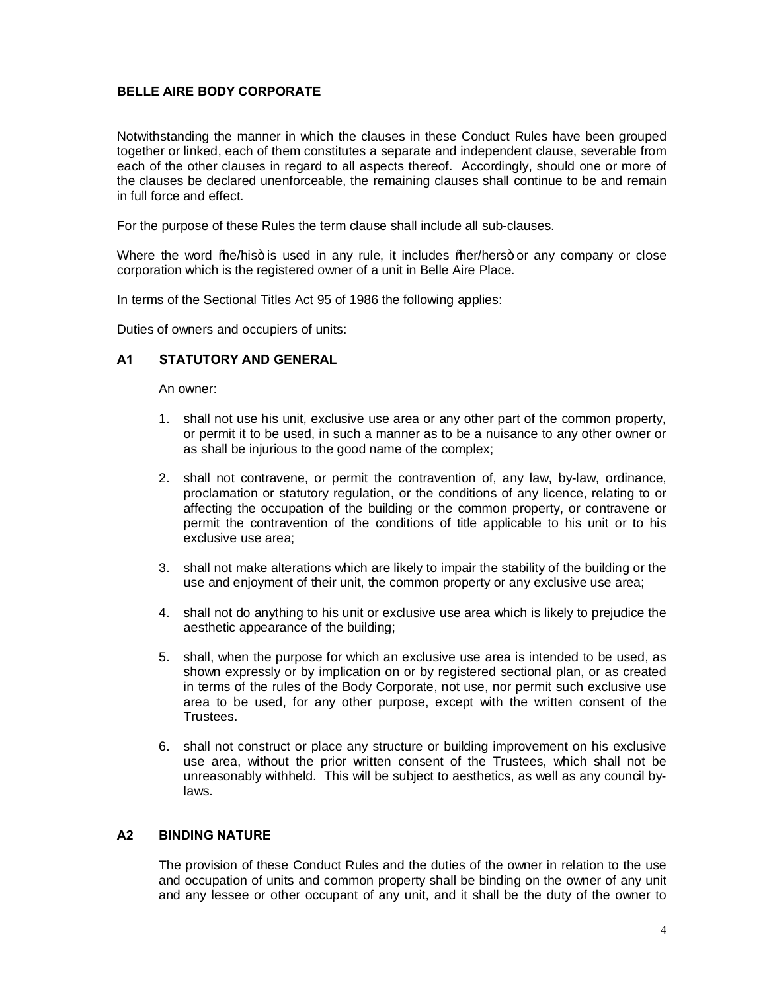# **BELLE AIRE BODY CORPORATE**

Notwithstanding the manner in which the clauses in these Conduct Rules have been grouped together or linked, each of them constitutes a separate and independent clause, severable from each of the other clauses in regard to all aspects thereof. Accordingly, should one or more of the clauses be declared unenforceable, the remaining clauses shall continue to be and remain in full force and effect.

For the purpose of these Rules the term clause shall include all sub-clauses.

Where the word *"hea*/his+ is used in any rule, it includes "*hear*/hers+ or any company or close corporation which is the registered owner of a unit in Belle Aire Place.

In terms of the Sectional Titles Act 95 of 1986 the following applies:

Duties of owners and occupiers of units:

### **A1 STATUTORY AND GENERAL**

An owner:

- 1. shall not use his unit, exclusive use area or any other part of the common property, or permit it to be used, in such a manner as to be a nuisance to any other owner or as shall be injurious to the good name of the complex;
- 2. shall not contravene, or permit the contravention of, any law, by-law, ordinance, proclamation or statutory regulation, or the conditions of any licence, relating to or affecting the occupation of the building or the common property, or contravene or permit the contravention of the conditions of title applicable to his unit or to his exclusive use area;
- 3. shall not make alterations which are likely to impair the stability of the building or the use and enjoyment of their unit, the common property or any exclusive use area;
- 4. shall not do anything to his unit or exclusive use area which is likely to prejudice the aesthetic appearance of the building;
- 5. shall, when the purpose for which an exclusive use area is intended to be used, as shown expressly or by implication on or by registered sectional plan, or as created in terms of the rules of the Body Corporate, not use, nor permit such exclusive use area to be used, for any other purpose, except with the written consent of the Trustees.
- 6. shall not construct or place any structure or building improvement on his exclusive use area, without the prior written consent of the Trustees, which shall not be unreasonably withheld. This will be subject to aesthetics, as well as any council bylaws.

### **A2 BINDING NATURE**

The provision of these Conduct Rules and the duties of the owner in relation to the use and occupation of units and common property shall be binding on the owner of any unit and any lessee or other occupant of any unit, and it shall be the duty of the owner to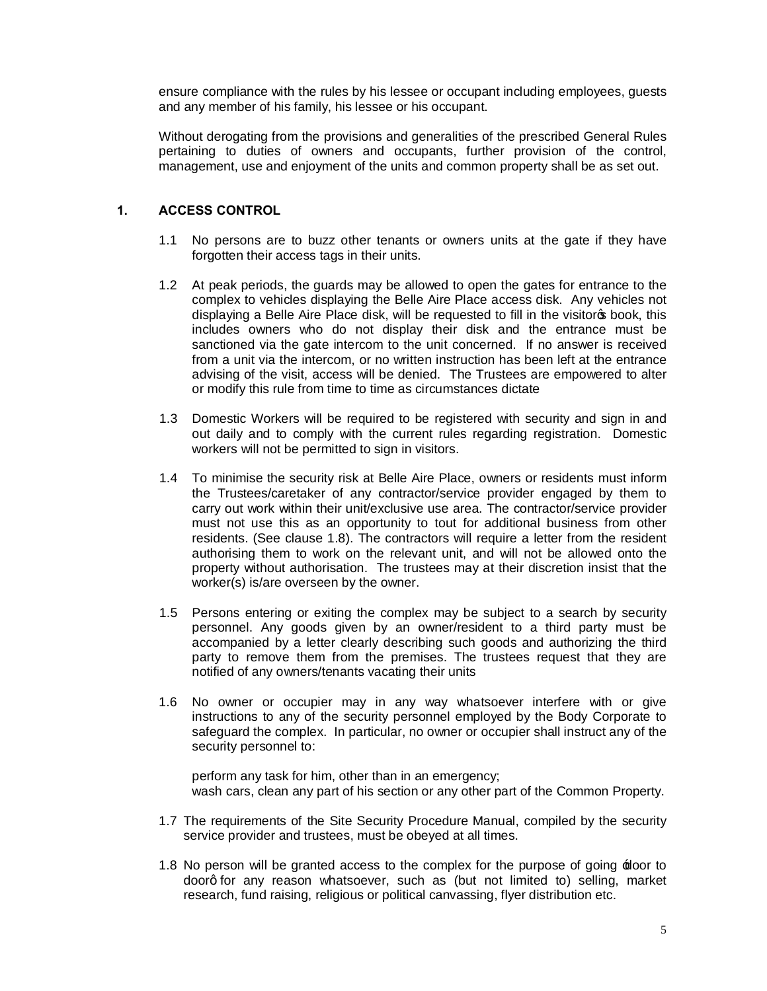ensure compliance with the rules by his lessee or occupant including employees, guests and any member of his family, his lessee or his occupant.

Without derogating from the provisions and generalities of the prescribed General Rules pertaining to duties of owners and occupants, further provision of the control, management, use and enjoyment of the units and common property shall be as set out.

### **1. ACCESS CONTROL**

- 1.1 No persons are to buzz other tenants or owners units at the gate if they have forgotten their access tags in their units.
- 1.2 At peak periods, the guards may be allowed to open the gates for entrance to the complex to vehicles displaying the Belle Aire Place access disk. Any vehicles not displaying a Belle Aire Place disk, will be requested to fill in the visitorop book, this includes owners who do not display their disk and the entrance must be sanctioned via the gate intercom to the unit concerned. If no answer is received from a unit via the intercom, or no written instruction has been left at the entrance advising of the visit, access will be denied. The Trustees are empowered to alter or modify this rule from time to time as circumstances dictate
- 1.3 Domestic Workers will be required to be registered with security and sign in and out daily and to comply with the current rules regarding registration. Domestic workers will not be permitted to sign in visitors.
- 1.4 To minimise the security risk at Belle Aire Place, owners or residents must inform the Trustees/caretaker of any contractor/service provider engaged by them to carry out work within their unit/exclusive use area. The contractor/service provider must not use this as an opportunity to tout for additional business from other residents. (See clause 1.8). The contractors will require a letter from the resident authorising them to work on the relevant unit, and will not be allowed onto the property without authorisation. The trustees may at their discretion insist that the worker(s) is/are overseen by the owner.
- 1.5 Persons entering or exiting the complex may be subject to a search by security personnel. Any goods given by an owner/resident to a third party must be accompanied by a letter clearly describing such goods and authorizing the third party to remove them from the premises. The trustees request that they are notified of any owners/tenants vacating their units
- 1.6 No owner or occupier may in any way whatsoever interfere with or give instructions to any of the security personnel employed by the Body Corporate to safeguard the complex. In particular, no owner or occupier shall instruct any of the security personnel to:

perform any task for him, other than in an emergency; wash cars, clean any part of his section or any other part of the Common Property.

- 1.7 The requirements of the Site Security Procedure Manual, compiled by the security service provider and trustees, must be obeyed at all times.
- 1.8 No person will be granted access to the complex for the purpose of going  $\pm$ door to doorq for any reason whatsoever, such as (but not limited to) selling, market research, fund raising, religious or political canvassing, flyer distribution etc.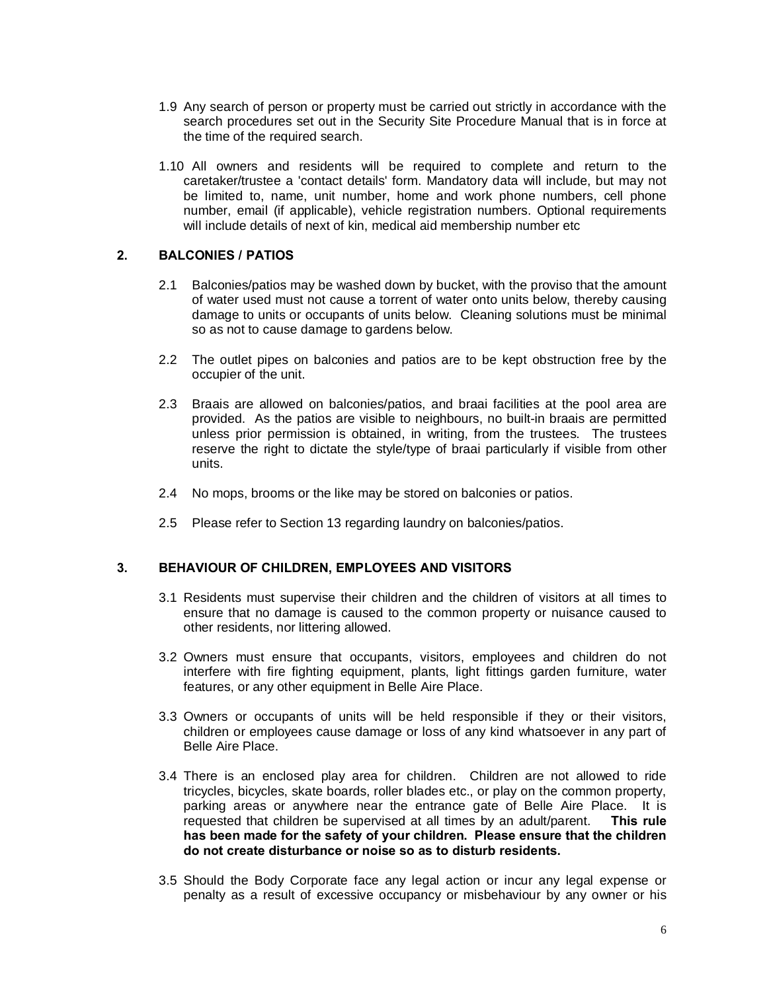- 1.9 Any search of person or property must be carried out strictly in accordance with the search procedures set out in the Security Site Procedure Manual that is in force at the time of the required search.
- 1.10 All owners and residents will be required to complete and return to the caretaker/trustee a 'contact details' form. Mandatory data will include, but may not be limited to, name, unit number, home and work phone numbers, cell phone number, email (if applicable), vehicle registration numbers. Optional requirements will include details of next of kin, medical aid membership number etc

#### **2. BALCONIES / PATIOS**

- 2.1 Balconies/patios may be washed down by bucket, with the proviso that the amount of water used must not cause a torrent of water onto units below, thereby causing damage to units or occupants of units below. Cleaning solutions must be minimal so as not to cause damage to gardens below.
- 2.2 The outlet pipes on balconies and patios are to be kept obstruction free by the occupier of the unit.
- 2.3 Braais are allowed on balconies/patios, and braai facilities at the pool area are provided. As the patios are visible to neighbours, no built-in braais are permitted unless prior permission is obtained, in writing, from the trustees. The trustees reserve the right to dictate the style/type of braai particularly if visible from other units.
- 2.4 No mops, brooms or the like may be stored on balconies or patios.
- 2.5 Please refer to Section 13 regarding laundry on balconies/patios.

### **3. BEHAVIOUR OF CHILDREN, EMPLOYEES AND VISITORS**

- 3.1 Residents must supervise their children and the children of visitors at all times to ensure that no damage is caused to the common property or nuisance caused to other residents, nor littering allowed.
- 3.2 Owners must ensure that occupants, visitors, employees and children do not interfere with fire fighting equipment, plants, light fittings garden furniture, water features, or any other equipment in Belle Aire Place.
- 3.3 Owners or occupants of units will be held responsible if they or their visitors, children or employees cause damage or loss of any kind whatsoever in any part of Belle Aire Place.
- 3.4 There is an enclosed play area for children. Children are not allowed to ride tricycles, bicycles, skate boards, roller blades etc., or play on the common property, parking areas or anywhere near the entrance gate of Belle Aire Place. It is requested that children be supervised at all times by an adult/parent. **This rule has been made for the safety of your children. Please ensure that the children do not create disturbance or noise so as to disturb residents.**
- 3.5 Should the Body Corporate face any legal action or incur any legal expense or penalty as a result of excessive occupancy or misbehaviour by any owner or his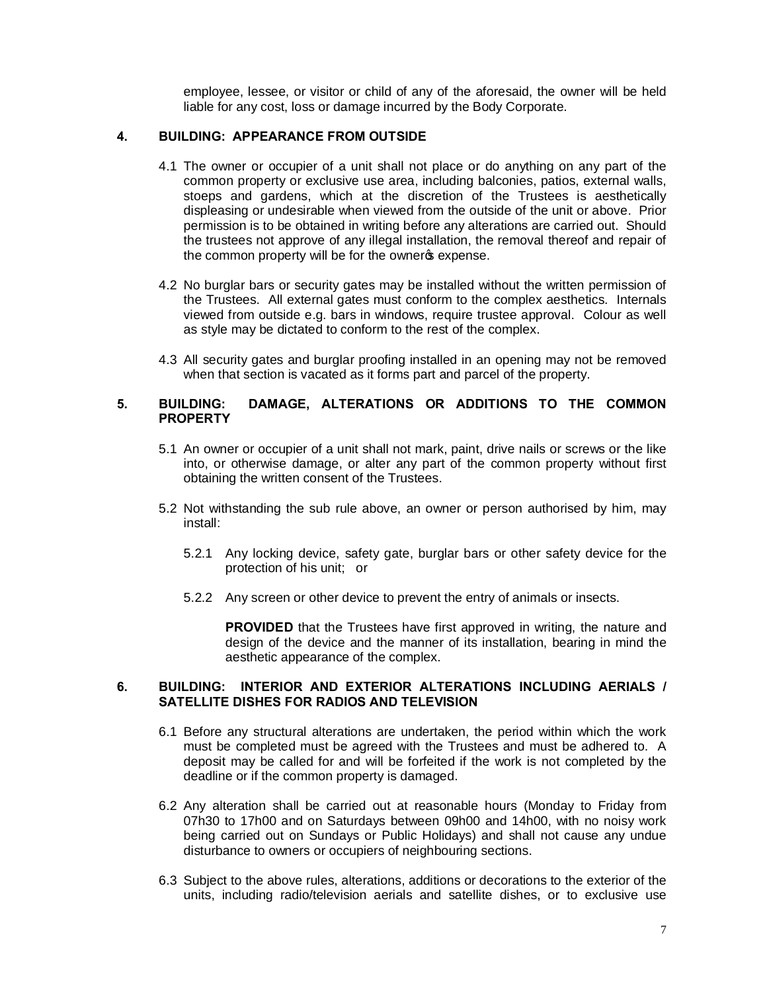employee, lessee, or visitor or child of any of the aforesaid, the owner will be held liable for any cost, loss or damage incurred by the Body Corporate.

#### **4. BUILDING: APPEARANCE FROM OUTSIDE**

- 4.1 The owner or occupier of a unit shall not place or do anything on any part of the common property or exclusive use area, including balconies, patios, external walls, stoeps and gardens, which at the discretion of the Trustees is aesthetically displeasing or undesirable when viewed from the outside of the unit or above. Prior permission is to be obtained in writing before any alterations are carried out. Should the trustees not approve of any illegal installation, the removal thereof and repair of the common property will be for the ownergs expense.
- 4.2 No burglar bars or security gates may be installed without the written permission of the Trustees. All external gates must conform to the complex aesthetics. Internals viewed from outside e.g. bars in windows, require trustee approval. Colour as well as style may be dictated to conform to the rest of the complex.
- 4.3 All security gates and burglar proofing installed in an opening may not be removed when that section is vacated as it forms part and parcel of the property.

#### **5. BUILDING: DAMAGE, ALTERATIONS OR ADDITIONS TO THE COMMON PROPERTY**

- 5.1 An owner or occupier of a unit shall not mark, paint, drive nails or screws or the like into, or otherwise damage, or alter any part of the common property without first obtaining the written consent of the Trustees.
- 5.2 Not withstanding the sub rule above, an owner or person authorised by him, may install:
	- 5.2.1 Any locking device, safety gate, burglar bars or other safety device for the protection of his unit; or
	- 5.2.2 Any screen or other device to prevent the entry of animals or insects.

**PROVIDED** that the Trustees have first approved in writing, the nature and design of the device and the manner of its installation, bearing in mind the aesthetic appearance of the complex.

#### **6. BUILDING: INTERIOR AND EXTERIOR ALTERATIONS INCLUDING AERIALS / SATELLITE DISHES FOR RADIOS AND TELEVISION**

- 6.1 Before any structural alterations are undertaken, the period within which the work must be completed must be agreed with the Trustees and must be adhered to. A deposit may be called for and will be forfeited if the work is not completed by the deadline or if the common property is damaged.
- 6.2 Any alteration shall be carried out at reasonable hours (Monday to Friday from 07h30 to 17h00 and on Saturdays between 09h00 and 14h00, with no noisy work being carried out on Sundays or Public Holidays) and shall not cause any undue disturbance to owners or occupiers of neighbouring sections.
- 6.3 Subject to the above rules, alterations, additions or decorations to the exterior of the units, including radio/television aerials and satellite dishes, or to exclusive use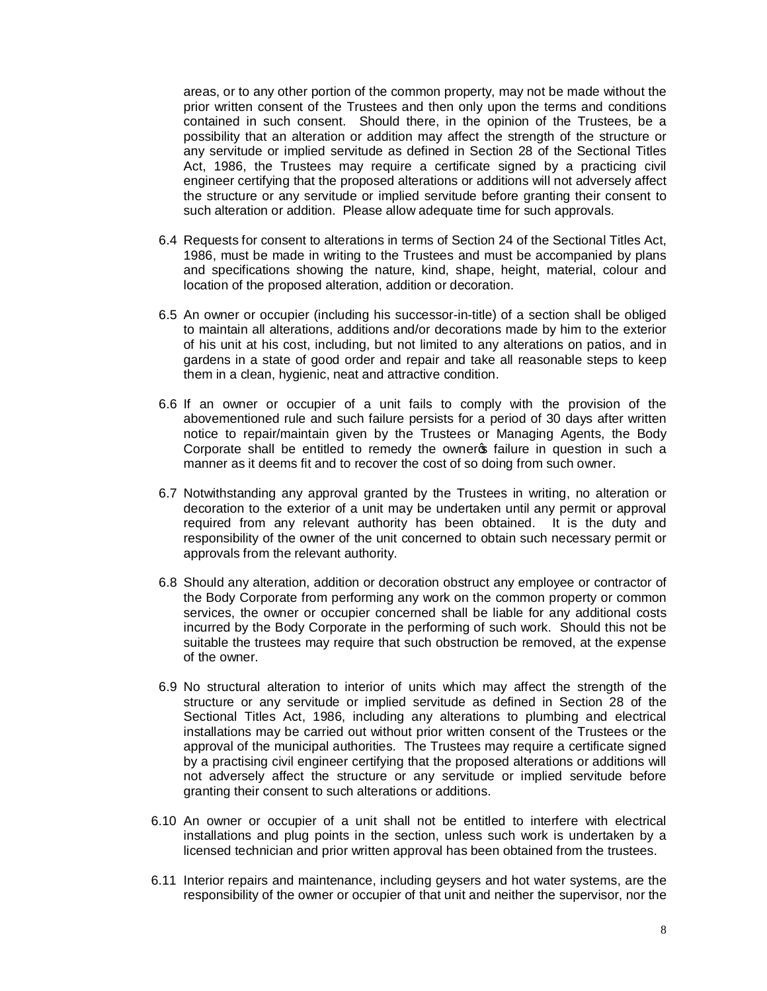areas, or to any other portion of the common property, may not be made without the prior written consent of the Trustees and then only upon the terms and conditions contained in such consent. Should there, in the opinion of the Trustees, be a possibility that an alteration or addition may affect the strength of the structure or any servitude or implied servitude as defined in Section 28 of the Sectional Titles Act, 1986, the Trustees may require a certificate signed by a practicing civil engineer certifying that the proposed alterations or additions will not adversely affect the structure or any servitude or implied servitude before granting their consent to such alteration or addition. Please allow adequate time for such approvals.

- 6.4 Requests for consent to alterations in terms of Section 24 of the Sectional Titles Act, 1986, must be made in writing to the Trustees and must be accompanied by plans and specifications showing the nature, kind, shape, height, material, colour and location of the proposed alteration, addition or decoration.
- 6.5 An owner or occupier (including his successor-in-title) of a section shall be obliged to maintain all alterations, additions and/or decorations made by him to the exterior of his unit at his cost, including, but not limited to any alterations on patios, and in gardens in a state of good order and repair and take all reasonable steps to keep them in a clean, hygienic, neat and attractive condition.
- 6.6 If an owner or occupier of a unit fails to comply with the provision of the abovementioned rule and such failure persists for a period of 30 days after written notice to repair/maintain given by the Trustees or Managing Agents, the Body Corporate shall be entitled to remedy the owner of failure in question in such a manner as it deems fit and to recover the cost of so doing from such owner.
- 6.7 Notwithstanding any approval granted by the Trustees in writing, no alteration or decoration to the exterior of a unit may be undertaken until any permit or approval required from any relevant authority has been obtained. It is the duty and responsibility of the owner of the unit concerned to obtain such necessary permit or approvals from the relevant authority.
- 6.8 Should any alteration, addition or decoration obstruct any employee or contractor of the Body Corporate from performing any work on the common property or common services, the owner or occupier concerned shall be liable for any additional costs incurred by the Body Corporate in the performing of such work. Should this not be suitable the trustees may require that such obstruction be removed, at the expense of the owner.
- 6.9 No structural alteration to interior of units which may affect the strength of the structure or any servitude or implied servitude as defined in Section 28 of the Sectional Titles Act, 1986, including any alterations to plumbing and electrical installations may be carried out without prior written consent of the Trustees or the approval of the municipal authorities. The Trustees may require a certificate signed by a practising civil engineer certifying that the proposed alterations or additions will not adversely affect the structure or any servitude or implied servitude before granting their consent to such alterations or additions.
- 6.10 An owner or occupier of a unit shall not be entitled to interfere with electrical installations and plug points in the section, unless such work is undertaken by a licensed technician and prior written approval has been obtained from the trustees.
- 6.11 Interior repairs and maintenance, including geysers and hot water systems, are the responsibility of the owner or occupier of that unit and neither the supervisor, nor the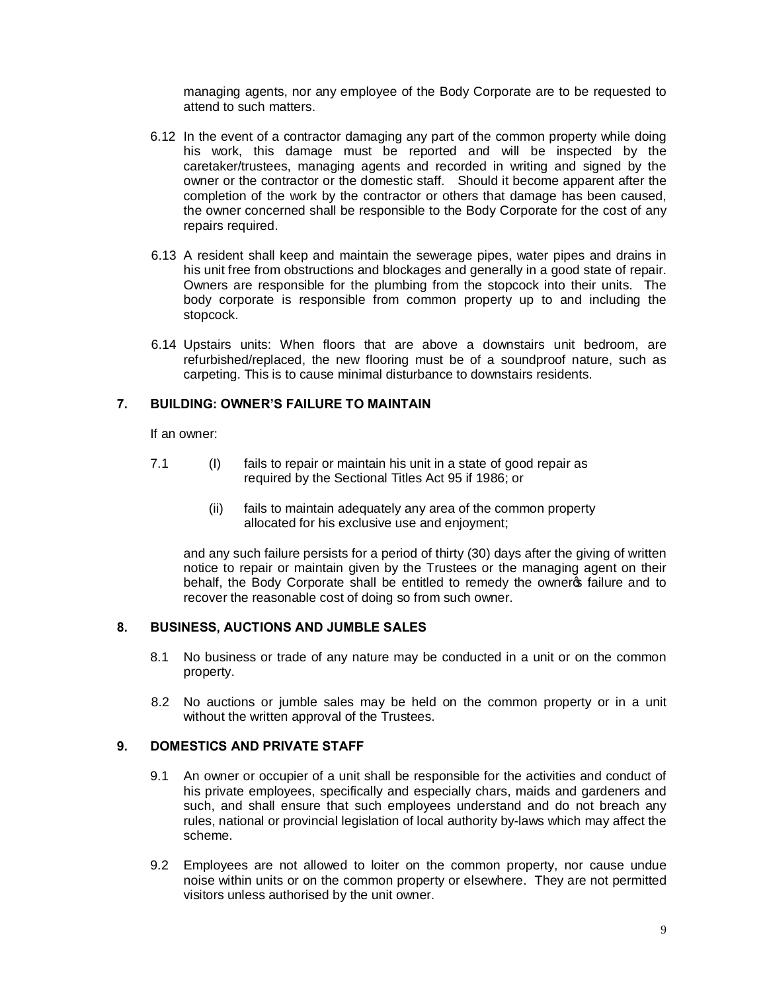managing agents, nor any employee of the Body Corporate are to be requested to attend to such matters.

- 6.12 In the event of a contractor damaging any part of the common property while doing his work, this damage must be reported and will be inspected by the caretaker/trustees, managing agents and recorded in writing and signed by the owner or the contractor or the domestic staff. Should it become apparent after the completion of the work by the contractor or others that damage has been caused, the owner concerned shall be responsible to the Body Corporate for the cost of any repairs required.
- 6.13 A resident shall keep and maintain the sewerage pipes, water pipes and drains in his unit free from obstructions and blockages and generally in a good state of repair. Owners are responsible for the plumbing from the stopcock into their units. The body corporate is responsible from common property up to and including the stopcock.
- 6.14 Upstairs units: When floors that are above a downstairs unit bedroom, are refurbished/replaced, the new flooring must be of a soundproof nature, such as carpeting. This is to cause minimal disturbance to downstairs residents.

### **7. BUILDING: OWNER'S FAILURE TO MAINTAIN**

If an owner:

- 7.1 (I) fails to repair or maintain his unit in a state of good repair as required by the Sectional Titles Act 95 if 1986; or
	- (ii) fails to maintain adequately any area of the common property allocated for his exclusive use and enjoyment;

and any such failure persists for a period of thirty (30) days after the giving of written notice to repair or maintain given by the Trustees or the managing agent on their behalf, the Body Corporate shall be entitled to remedy the ownergs failure and to recover the reasonable cost of doing so from such owner.

#### **8. BUSINESS, AUCTIONS AND JUMBLE SALES**

- 8.1 No business or trade of any nature may be conducted in a unit or on the common property.
- 8.2 No auctions or jumble sales may be held on the common property or in a unit without the written approval of the Trustees.

# **9. DOMESTICS AND PRIVATE STAFF**

- 9.1 An owner or occupier of a unit shall be responsible for the activities and conduct of his private employees, specifically and especially chars, maids and gardeners and such, and shall ensure that such employees understand and do not breach any rules, national or provincial legislation of local authority by-laws which may affect the scheme.
- 9.2 Employees are not allowed to loiter on the common property, nor cause undue noise within units or on the common property or elsewhere. They are not permitted visitors unless authorised by the unit owner.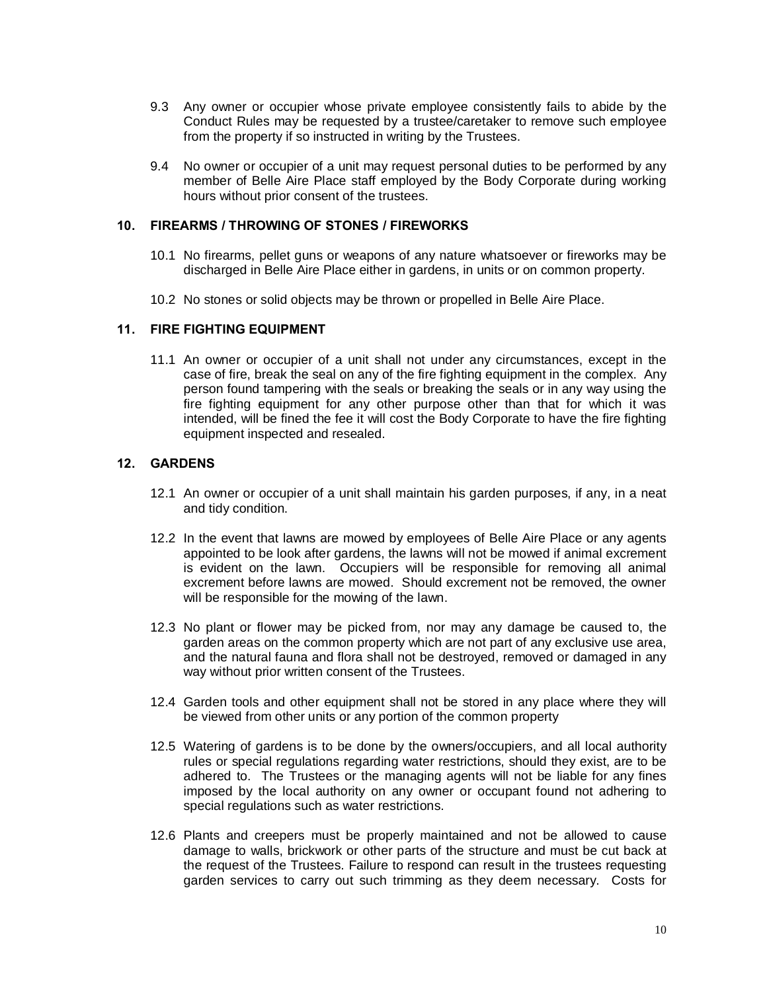- 9.3 Any owner or occupier whose private employee consistently fails to abide by the Conduct Rules may be requested by a trustee/caretaker to remove such employee from the property if so instructed in writing by the Trustees.
- 9.4 No owner or occupier of a unit may request personal duties to be performed by any member of Belle Aire Place staff employed by the Body Corporate during working hours without prior consent of the trustees.

#### **10. FIREARMS / THROWING OF STONES / FIREWORKS**

- 10.1 No firearms, pellet guns or weapons of any nature whatsoever or fireworks may be discharged in Belle Aire Place either in gardens, in units or on common property.
- 10.2 No stones or solid objects may be thrown or propelled in Belle Aire Place.

### **11. FIRE FIGHTING EQUIPMENT**

11.1 An owner or occupier of a unit shall not under any circumstances, except in the case of fire, break the seal on any of the fire fighting equipment in the complex. Any person found tampering with the seals or breaking the seals or in any way using the fire fighting equipment for any other purpose other than that for which it was intended, will be fined the fee it will cost the Body Corporate to have the fire fighting equipment inspected and resealed.

### **12. GARDENS**

- 12.1 An owner or occupier of a unit shall maintain his garden purposes, if any, in a neat and tidy condition.
- 12.2 In the event that lawns are mowed by employees of Belle Aire Place or any agents appointed to be look after gardens, the lawns will not be mowed if animal excrement is evident on the lawn. Occupiers will be responsible for removing all animal excrement before lawns are mowed. Should excrement not be removed, the owner will be responsible for the mowing of the lawn.
- 12.3 No plant or flower may be picked from, nor may any damage be caused to, the garden areas on the common property which are not part of any exclusive use area, and the natural fauna and flora shall not be destroyed, removed or damaged in any way without prior written consent of the Trustees.
- 12.4 Garden tools and other equipment shall not be stored in any place where they will be viewed from other units or any portion of the common property
- 12.5 Watering of gardens is to be done by the owners/occupiers, and all local authority rules or special regulations regarding water restrictions, should they exist, are to be adhered to. The Trustees or the managing agents will not be liable for any fines imposed by the local authority on any owner or occupant found not adhering to special regulations such as water restrictions.
- 12.6 Plants and creepers must be properly maintained and not be allowed to cause damage to walls, brickwork or other parts of the structure and must be cut back at the request of the Trustees. Failure to respond can result in the trustees requesting garden services to carry out such trimming as they deem necessary. Costs for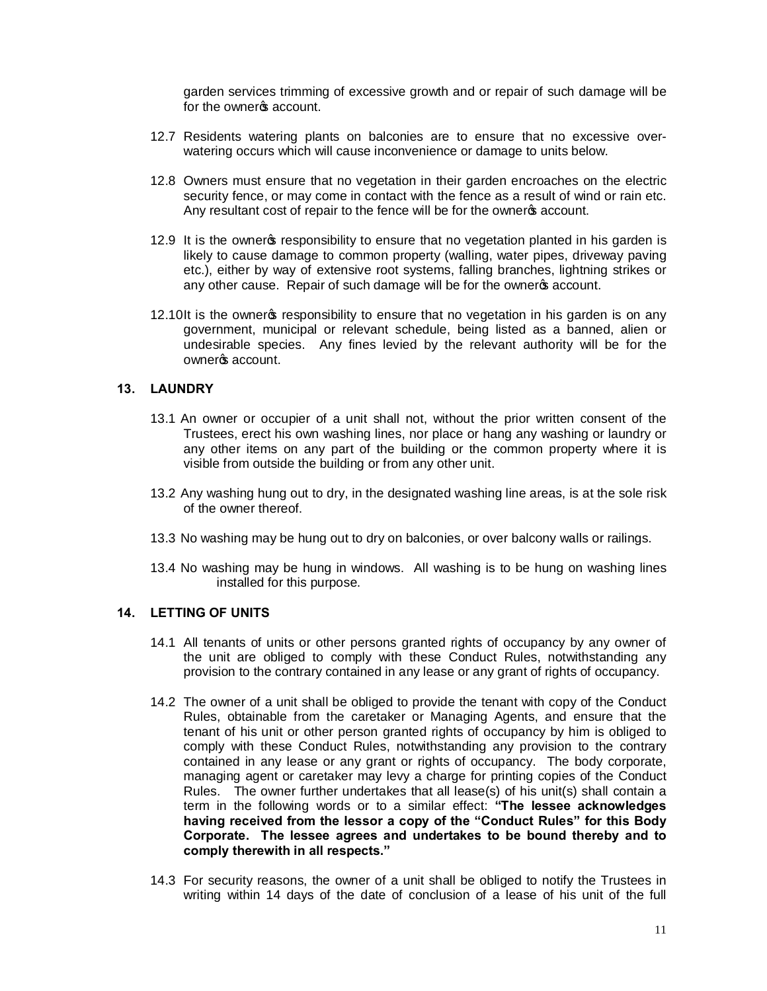garden services trimming of excessive growth and or repair of such damage will be for the owner's account.

- 12.7 Residents watering plants on balconies are to ensure that no excessive overwatering occurs which will cause inconvenience or damage to units below.
- 12.8 Owners must ensure that no vegetation in their garden encroaches on the electric security fence, or may come in contact with the fence as a result of wind or rain etc. Any resultant cost of repair to the fence will be for the owners account.
- 12.9 It is the ownergs responsibility to ensure that no vegetation planted in his garden is likely to cause damage to common property (walling, water pipes, driveway paving etc.), either by way of extensive root systems, falling branches, lightning strikes or any other cause. Repair of such damage will be for the ownergs account.
- 12.10It is the ownergs responsibility to ensure that no vegetation in his garden is on any government, municipal or relevant schedule, being listed as a banned, alien or undesirable species. Any fines levied by the relevant authority will be for the ownergs account.

### **13. LAUNDRY**

- 13.1 An owner or occupier of a unit shall not, without the prior written consent of the Trustees, erect his own washing lines, nor place or hang any washing or laundry or any other items on any part of the building or the common property where it is visible from outside the building or from any other unit.
- 13.2 Any washing hung out to dry, in the designated washing line areas, is at the sole risk of the owner thereof.
- 13.3 No washing may be hung out to dry on balconies, or over balcony walls or railings.
- 13.4 No washing may be hung in windows. All washing is to be hung on washing lines installed for this purpose.

### **14. LETTING OF UNITS**

- 14.1 All tenants of units or other persons granted rights of occupancy by any owner of the unit are obliged to comply with these Conduct Rules, notwithstanding any provision to the contrary contained in any lease or any grant of rights of occupancy.
- 14.2 The owner of a unit shall be obliged to provide the tenant with copy of the Conduct Rules, obtainable from the caretaker or Managing Agents, and ensure that the tenant of his unit or other person granted rights of occupancy by him is obliged to comply with these Conduct Rules, notwithstanding any provision to the contrary contained in any lease or any grant or rights of occupancy. The body corporate, managing agent or caretaker may levy a charge for printing copies of the Conduct Rules. The owner further undertakes that all lease(s) of his unit(s) shall contain a term in the following words or to a similar effect: **"The lessee acknowledges having received from the lessor a copy of the "Conduct Rules" for this Body Corporate. The lessee agrees and undertakes to be bound thereby and to comply therewith in all respects."**
- 14.3 For security reasons, the owner of a unit shall be obliged to notify the Trustees in writing within 14 days of the date of conclusion of a lease of his unit of the full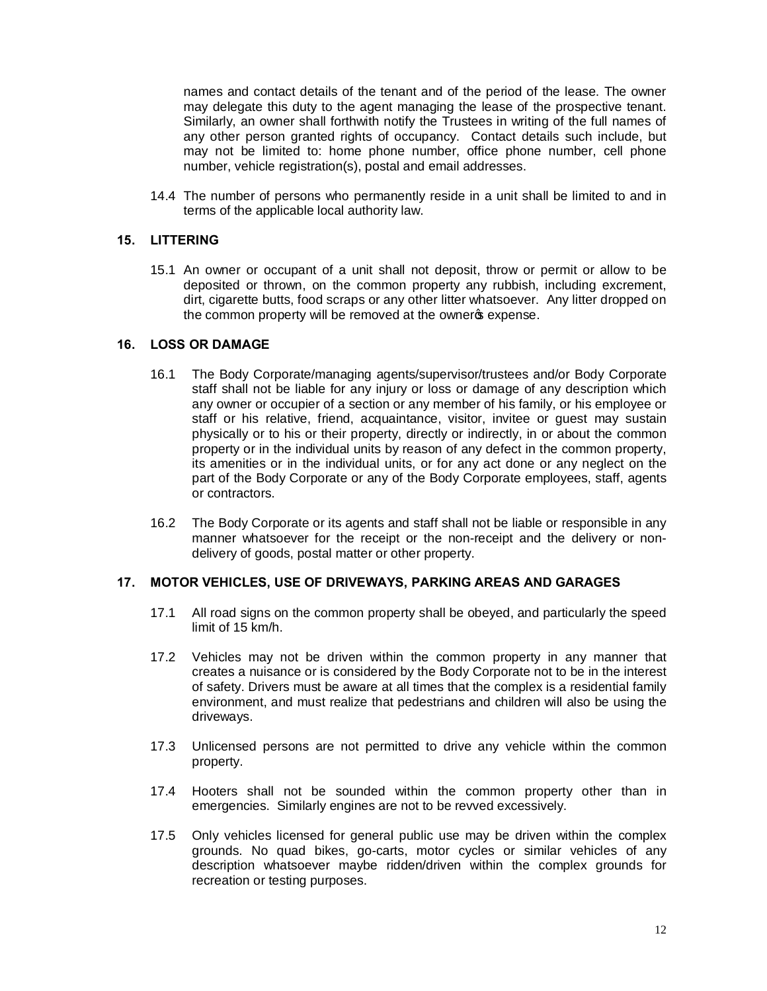names and contact details of the tenant and of the period of the lease. The owner may delegate this duty to the agent managing the lease of the prospective tenant. Similarly, an owner shall forthwith notify the Trustees in writing of the full names of any other person granted rights of occupancy. Contact details such include, but may not be limited to: home phone number, office phone number, cell phone number, vehicle registration(s), postal and email addresses.

14.4 The number of persons who permanently reside in a unit shall be limited to and in terms of the applicable local authority law.

#### **15. LITTERING**

15.1 An owner or occupant of a unit shall not deposit, throw or permit or allow to be deposited or thrown, on the common property any rubbish, including excrement, dirt, cigarette butts, food scraps or any other litter whatsoever. Any litter dropped on the common property will be removed at the owners expense.

#### **16. LOSS OR DAMAGE**

- 16.1 The Body Corporate/managing agents/supervisor/trustees and/or Body Corporate staff shall not be liable for any injury or loss or damage of any description which any owner or occupier of a section or any member of his family, or his employee or staff or his relative, friend, acquaintance, visitor, invitee or guest may sustain physically or to his or their property, directly or indirectly, in or about the common property or in the individual units by reason of any defect in the common property, its amenities or in the individual units, or for any act done or any neglect on the part of the Body Corporate or any of the Body Corporate employees, staff, agents or contractors.
- 16.2 The Body Corporate or its agents and staff shall not be liable or responsible in any manner whatsoever for the receipt or the non-receipt and the delivery or nondelivery of goods, postal matter or other property.

#### **17. MOTOR VEHICLES, USE OF DRIVEWAYS, PARKING AREAS AND GARAGES**

- 17.1 All road signs on the common property shall be obeyed, and particularly the speed limit of 15 km/h.
- 17.2 Vehicles may not be driven within the common property in any manner that creates a nuisance or is considered by the Body Corporate not to be in the interest of safety. Drivers must be aware at all times that the complex is a residential family environment, and must realize that pedestrians and children will also be using the driveways.
- 17.3 Unlicensed persons are not permitted to drive any vehicle within the common property.
- 17.4 Hooters shall not be sounded within the common property other than in emergencies. Similarly engines are not to be revved excessively.
- 17.5 Only vehicles licensed for general public use may be driven within the complex grounds. No quad bikes, go-carts, motor cycles or similar vehicles of any description whatsoever maybe ridden/driven within the complex grounds for recreation or testing purposes.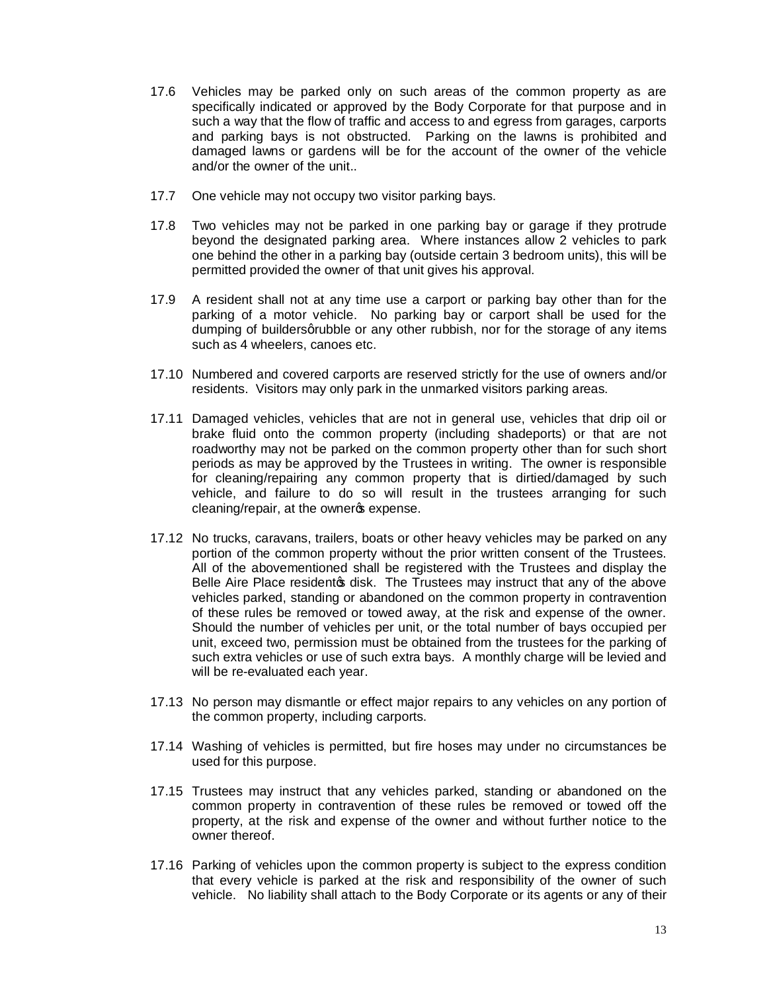- 17.6 Vehicles may be parked only on such areas of the common property as are specifically indicated or approved by the Body Corporate for that purpose and in such a way that the flow of traffic and access to and egress from garages, carports and parking bays is not obstructed. Parking on the lawns is prohibited and damaged lawns or gardens will be for the account of the owner of the vehicle and/or the owner of the unit..
- 17.7 One vehicle may not occupy two visitor parking bays.
- 17.8 Two vehicles may not be parked in one parking bay or garage if they protrude beyond the designated parking area. Where instances allow 2 vehicles to park one behind the other in a parking bay (outside certain 3 bedroom units), this will be permitted provided the owner of that unit gives his approval.
- 17.9 A resident shall not at any time use a carport or parking bay other than for the parking of a motor vehicle. No parking bay or carport shall be used for the dumping of builders grubble or any other rubbish, nor for the storage of any items such as 4 wheelers, canoes etc.
- 17.10 Numbered and covered carports are reserved strictly for the use of owners and/or residents. Visitors may only park in the unmarked visitors parking areas.
- 17.11 Damaged vehicles, vehicles that are not in general use, vehicles that drip oil or brake fluid onto the common property (including shadeports) or that are not roadworthy may not be parked on the common property other than for such short periods as may be approved by the Trustees in writing. The owner is responsible for cleaning/repairing any common property that is dirtied/damaged by such vehicle, and failure to do so will result in the trustees arranging for such cleaning/repair, at the owneros expense.
- 17.12 No trucks, caravans, trailers, boats or other heavy vehicles may be parked on any portion of the common property without the prior written consent of the Trustees. All of the abovementioned shall be registered with the Trustees and display the Belle Aire Place residentos disk. The Trustees may instruct that any of the above vehicles parked, standing or abandoned on the common property in contravention of these rules be removed or towed away, at the risk and expense of the owner. Should the number of vehicles per unit, or the total number of bays occupied per unit, exceed two, permission must be obtained from the trustees for the parking of such extra vehicles or use of such extra bays. A monthly charge will be levied and will be re-evaluated each year.
- 17.13 No person may dismantle or effect major repairs to any vehicles on any portion of the common property, including carports.
- 17.14 Washing of vehicles is permitted, but fire hoses may under no circumstances be used for this purpose.
- 17.15 Trustees may instruct that any vehicles parked, standing or abandoned on the common property in contravention of these rules be removed or towed off the property, at the risk and expense of the owner and without further notice to the owner thereof.
- 17.16 Parking of vehicles upon the common property is subject to the express condition that every vehicle is parked at the risk and responsibility of the owner of such vehicle. No liability shall attach to the Body Corporate or its agents or any of their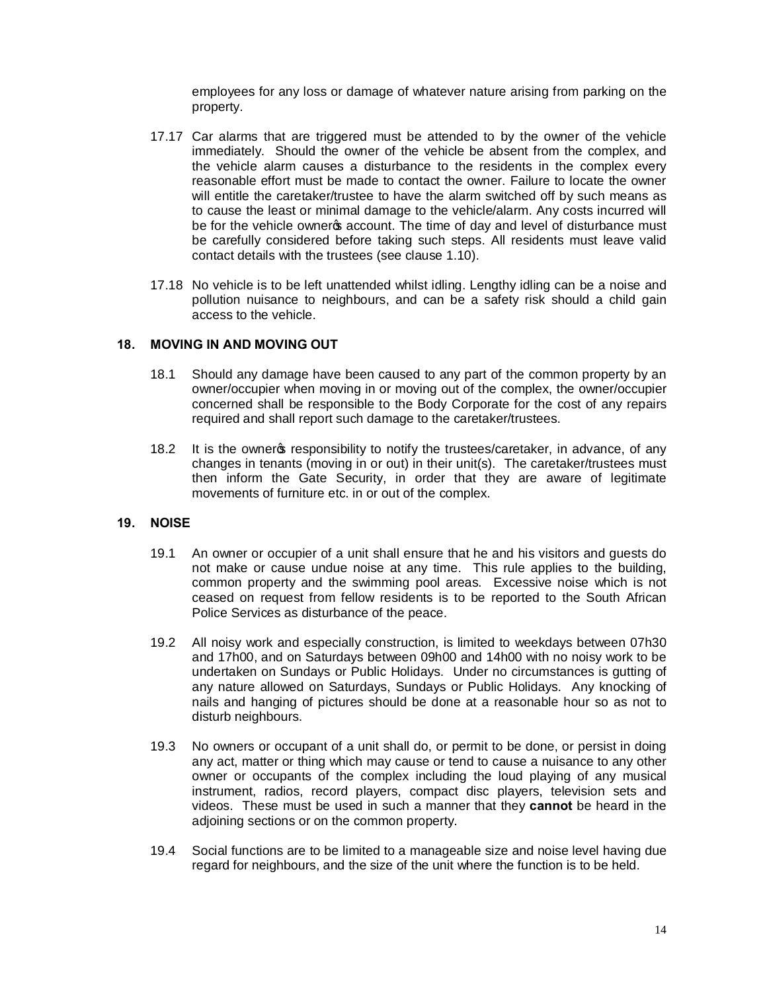employees for any loss or damage of whatever nature arising from parking on the property.

- 17.17 Car alarms that are triggered must be attended to by the owner of the vehicle immediately. Should the owner of the vehicle be absent from the complex, and the vehicle alarm causes a disturbance to the residents in the complex every reasonable effort must be made to contact the owner. Failure to locate the owner will entitle the caretaker/trustee to have the alarm switched off by such means as to cause the least or minimal damage to the vehicle/alarm. Any costs incurred will be for the vehicle owner op account. The time of day and level of disturbance must be carefully considered before taking such steps. All residents must leave valid contact details with the trustees (see clause 1.10).
- 17.18 No vehicle is to be left unattended whilst idling. Lengthy idling can be a noise and pollution nuisance to neighbours, and can be a safety risk should a child gain access to the vehicle.

### **18. MOVING IN AND MOVING OUT**

- 18.1 Should any damage have been caused to any part of the common property by an owner/occupier when moving in or moving out of the complex, the owner/occupier concerned shall be responsible to the Body Corporate for the cost of any repairs required and shall report such damage to the caretaker/trustees.
- 18.2 It is the owner the responsibility to notify the trustees/caretaker, in advance, of any changes in tenants (moving in or out) in their unit(s). The caretaker/trustees must then inform the Gate Security, in order that they are aware of legitimate movements of furniture etc. in or out of the complex.

### **19. NOISE**

- 19.1 An owner or occupier of a unit shall ensure that he and his visitors and guests do not make or cause undue noise at any time. This rule applies to the building, common property and the swimming pool areas. Excessive noise which is not ceased on request from fellow residents is to be reported to the South African Police Services as disturbance of the peace.
- 19.2 All noisy work and especially construction, is limited to weekdays between 07h30 and 17h00, and on Saturdays between 09h00 and 14h00 with no noisy work to be undertaken on Sundays or Public Holidays. Under no circumstances is gutting of any nature allowed on Saturdays, Sundays or Public Holidays. Any knocking of nails and hanging of pictures should be done at a reasonable hour so as not to disturb neighbours.
- 19.3 No owners or occupant of a unit shall do, or permit to be done, or persist in doing any act, matter or thing which may cause or tend to cause a nuisance to any other owner or occupants of the complex including the loud playing of any musical instrument, radios, record players, compact disc players, television sets and videos. These must be used in such a manner that they **cannot** be heard in the adjoining sections or on the common property.
- 19.4 Social functions are to be limited to a manageable size and noise level having due regard for neighbours, and the size of the unit where the function is to be held.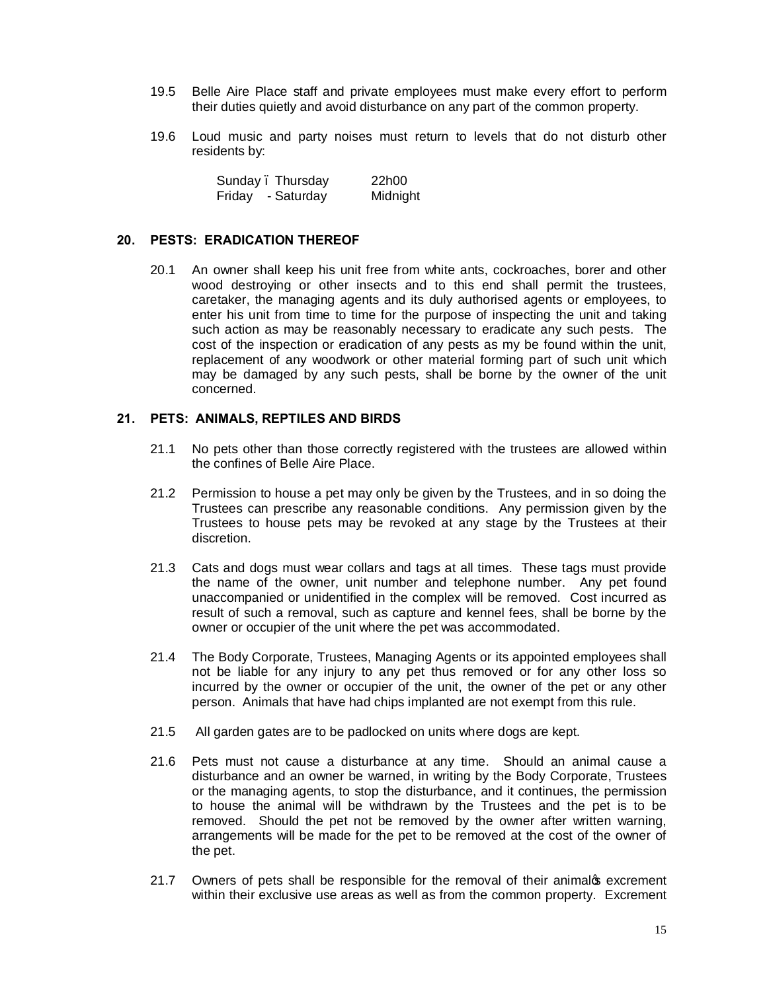- 19.5 Belle Aire Place staff and private employees must make every effort to perform their duties quietly and avoid disturbance on any part of the common property.
- 19.6 Loud music and party noises must return to levels that do not disturb other residents by:

|        | Sunday. Thursday | 22h00    |
|--------|------------------|----------|
| Friday | - Saturday       | Midnight |

#### **20. PESTS: ERADICATION THEREOF**

20.1 An owner shall keep his unit free from white ants, cockroaches, borer and other wood destroying or other insects and to this end shall permit the trustees, caretaker, the managing agents and its duly authorised agents or employees, to enter his unit from time to time for the purpose of inspecting the unit and taking such action as may be reasonably necessary to eradicate any such pests. The cost of the inspection or eradication of any pests as my be found within the unit, replacement of any woodwork or other material forming part of such unit which may be damaged by any such pests, shall be borne by the owner of the unit concerned.

#### **21. PETS: ANIMALS, REPTILES AND BIRDS**

- 21.1 No pets other than those correctly registered with the trustees are allowed within the confines of Belle Aire Place.
- 21.2 Permission to house a pet may only be given by the Trustees, and in so doing the Trustees can prescribe any reasonable conditions. Any permission given by the Trustees to house pets may be revoked at any stage by the Trustees at their discretion.
- 21.3 Cats and dogs must wear collars and tags at all times. These tags must provide the name of the owner, unit number and telephone number. Any pet found unaccompanied or unidentified in the complex will be removed. Cost incurred as result of such a removal, such as capture and kennel fees, shall be borne by the owner or occupier of the unit where the pet was accommodated.
- 21.4 The Body Corporate, Trustees, Managing Agents or its appointed employees shall not be liable for any injury to any pet thus removed or for any other loss so incurred by the owner or occupier of the unit, the owner of the pet or any other person. Animals that have had chips implanted are not exempt from this rule.
- 21.5 All garden gates are to be padlocked on units where dogs are kept.
- 21.6 Pets must not cause a disturbance at any time. Should an animal cause a disturbance and an owner be warned, in writing by the Body Corporate, Trustees or the managing agents, to stop the disturbance, and it continues, the permission to house the animal will be withdrawn by the Trustees and the pet is to be removed. Should the pet not be removed by the owner after written warning, arrangements will be made for the pet to be removed at the cost of the owner of the pet.
- 21.7 Owners of pets shall be responsible for the removal of their animalos excrement within their exclusive use areas as well as from the common property. Excrement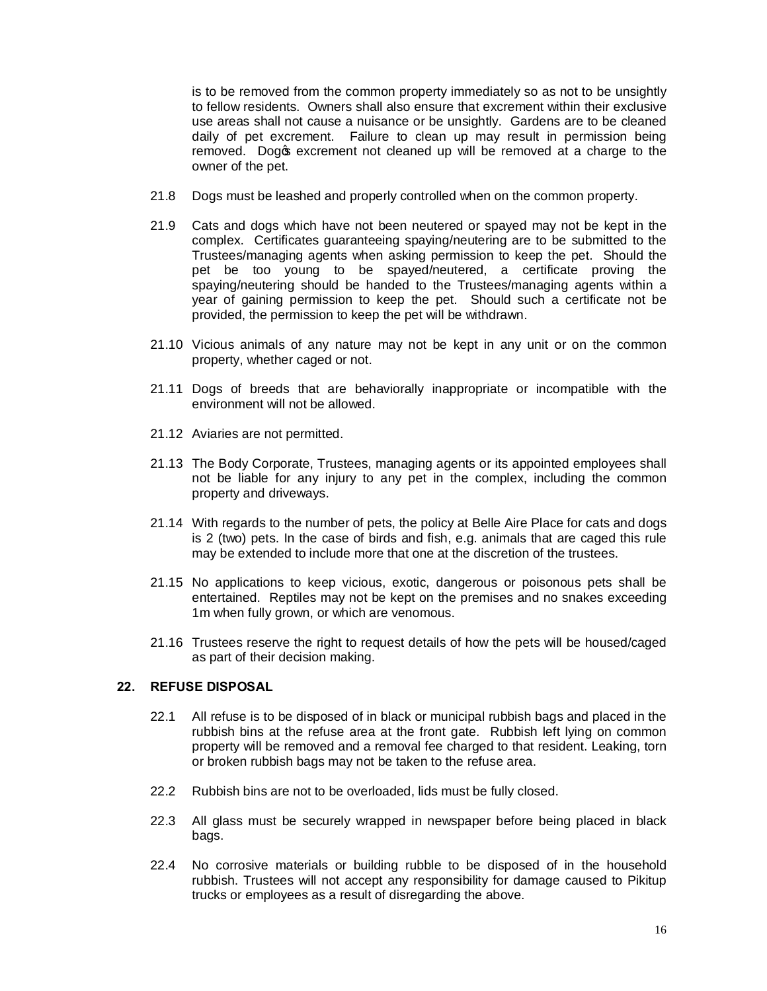is to be removed from the common property immediately so as not to be unsightly to fellow residents. Owners shall also ensure that excrement within their exclusive use areas shall not cause a nuisance or be unsightly. Gardens are to be cleaned daily of pet excrement. Failure to clean up may result in permission being removed. Dogos excrement not cleaned up will be removed at a charge to the owner of the pet.

- 21.8 Dogs must be leashed and properly controlled when on the common property.
- 21.9 Cats and dogs which have not been neutered or spayed may not be kept in the complex. Certificates guaranteeing spaying/neutering are to be submitted to the Trustees/managing agents when asking permission to keep the pet. Should the pet be too young to be spayed/neutered, a certificate proving the spaying/neutering should be handed to the Trustees/managing agents within a year of gaining permission to keep the pet. Should such a certificate not be provided, the permission to keep the pet will be withdrawn.
- 21.10 Vicious animals of any nature may not be kept in any unit or on the common property, whether caged or not.
- 21.11 Dogs of breeds that are behaviorally inappropriate or incompatible with the environment will not be allowed.
- 21.12 Aviaries are not permitted.
- 21.13 The Body Corporate, Trustees, managing agents or its appointed employees shall not be liable for any injury to any pet in the complex, including the common property and driveways.
- 21.14 With regards to the number of pets, the policy at Belle Aire Place for cats and dogs is 2 (two) pets. In the case of birds and fish, e.g. animals that are caged this rule may be extended to include more that one at the discretion of the trustees.
- 21.15 No applications to keep vicious, exotic, dangerous or poisonous pets shall be entertained. Reptiles may not be kept on the premises and no snakes exceeding 1m when fully grown, or which are venomous.
- 21.16 Trustees reserve the right to request details of how the pets will be housed/caged as part of their decision making.

### **22. REFUSE DISPOSAL**

- 22.1 All refuse is to be disposed of in black or municipal rubbish bags and placed in the rubbish bins at the refuse area at the front gate. Rubbish left lying on common property will be removed and a removal fee charged to that resident. Leaking, torn or broken rubbish bags may not be taken to the refuse area.
- 22.2 Rubbish bins are not to be overloaded, lids must be fully closed.
- 22.3 All glass must be securely wrapped in newspaper before being placed in black bags.
- 22.4 No corrosive materials or building rubble to be disposed of in the household rubbish. Trustees will not accept any responsibility for damage caused to Pikitup trucks or employees as a result of disregarding the above.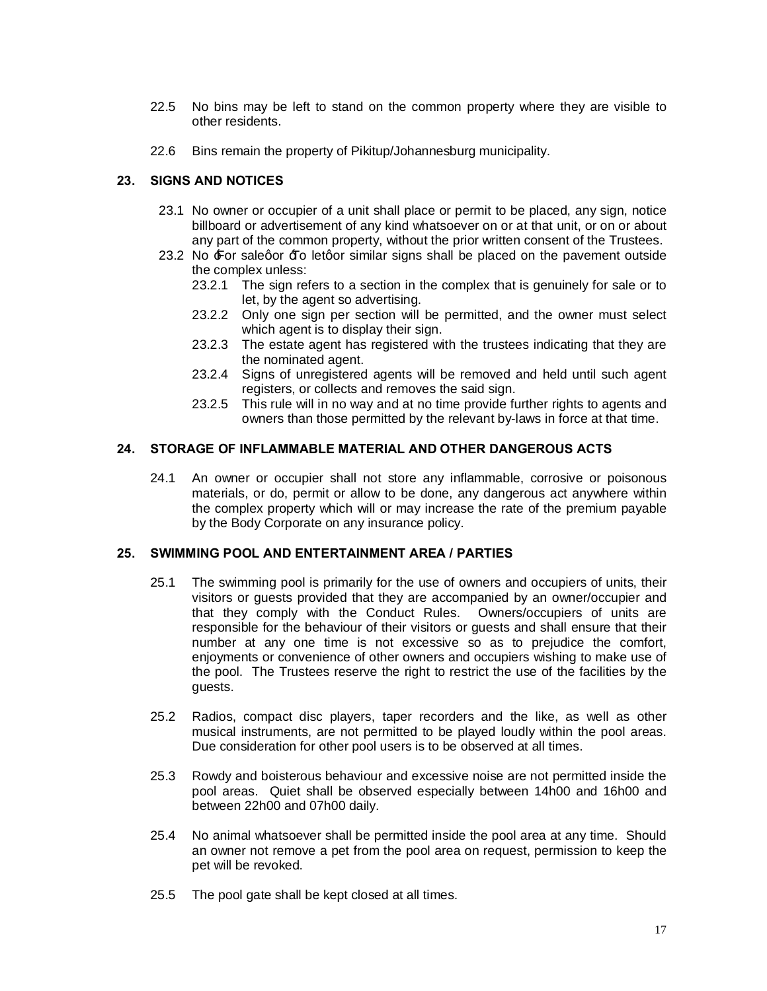- 22.5 No bins may be left to stand on the common property where they are visible to other residents.
- 22.6 Bins remain the property of Pikitup/Johannesburg municipality.

### **23. SIGNS AND NOTICES**

- 23.1 No owner or occupier of a unit shall place or permit to be placed, any sign, notice billboard or advertisement of any kind whatsoever on or at that unit, or on or about any part of the common property, without the prior written consent of the Trustees.
- 23.2 No  $\pm$  or salegor  $\pm$  o letgor similar signs shall be placed on the pavement outside the complex unless:
	- 23.2.1 The sign refers to a section in the complex that is genuinely for sale or to let, by the agent so advertising.
	- 23.2.2 Only one sign per section will be permitted, and the owner must select which agent is to display their sign.
	- 23.2.3 The estate agent has registered with the trustees indicating that they are the nominated agent.
	- 23.2.4 Signs of unregistered agents will be removed and held until such agent registers, or collects and removes the said sign.
	- 23.2.5 This rule will in no way and at no time provide further rights to agents and owners than those permitted by the relevant by-laws in force at that time.

### **24. STORAGE OF INFLAMMABLE MATERIAL AND OTHER DANGEROUS ACTS**

24.1 An owner or occupier shall not store any inflammable, corrosive or poisonous materials, or do, permit or allow to be done, any dangerous act anywhere within the complex property which will or may increase the rate of the premium payable by the Body Corporate on any insurance policy.

### **25. SWIMMING POOL AND ENTERTAINMENT AREA / PARTIES**

- 25.1 The swimming pool is primarily for the use of owners and occupiers of units, their visitors or guests provided that they are accompanied by an owner/occupier and that they comply with the Conduct Rules. Owners/occupiers of units are responsible for the behaviour of their visitors or guests and shall ensure that their number at any one time is not excessive so as to prejudice the comfort, enjoyments or convenience of other owners and occupiers wishing to make use of the pool. The Trustees reserve the right to restrict the use of the facilities by the guests.
- 25.2 Radios, compact disc players, taper recorders and the like, as well as other musical instruments, are not permitted to be played loudly within the pool areas. Due consideration for other pool users is to be observed at all times.
- 25.3 Rowdy and boisterous behaviour and excessive noise are not permitted inside the pool areas. Quiet shall be observed especially between 14h00 and 16h00 and between 22h00 and 07h00 daily.
- 25.4 No animal whatsoever shall be permitted inside the pool area at any time. Should an owner not remove a pet from the pool area on request, permission to keep the pet will be revoked.
- 25.5 The pool gate shall be kept closed at all times.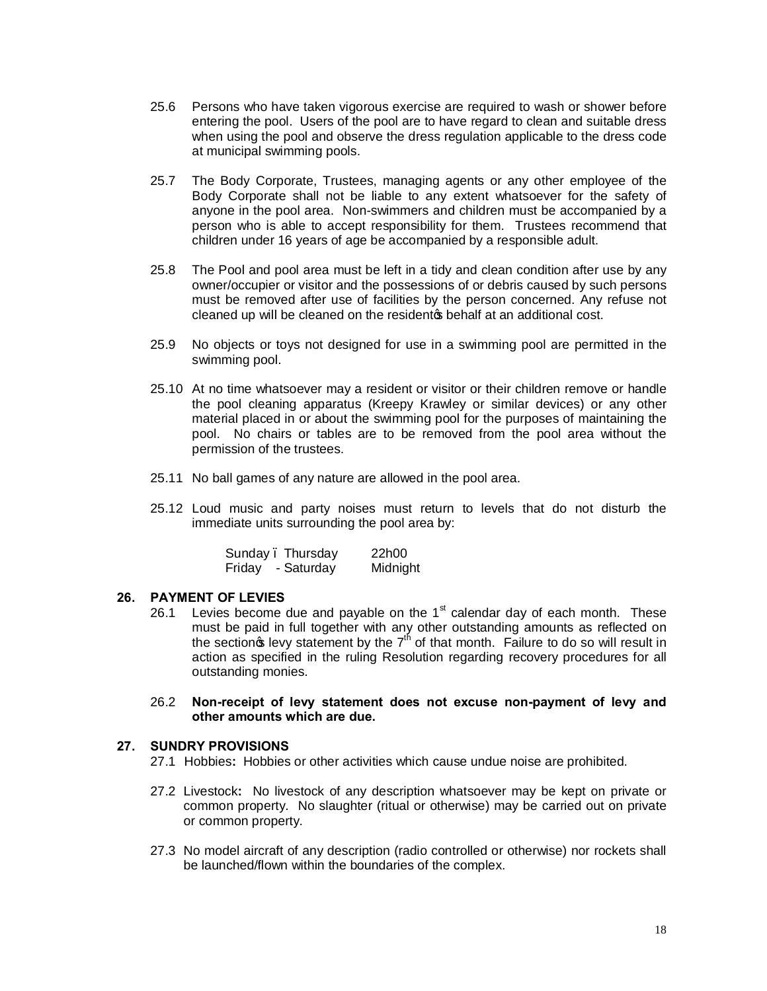- 25.6 Persons who have taken vigorous exercise are required to wash or shower before entering the pool. Users of the pool are to have regard to clean and suitable dress when using the pool and observe the dress regulation applicable to the dress code at municipal swimming pools.
- 25.7 The Body Corporate, Trustees, managing agents or any other employee of the Body Corporate shall not be liable to any extent whatsoever for the safety of anyone in the pool area. Non-swimmers and children must be accompanied by a person who is able to accept responsibility for them. Trustees recommend that children under 16 years of age be accompanied by a responsible adult.
- 25.8 The Pool and pool area must be left in a tidy and clean condition after use by any owner/occupier or visitor and the possessions of or debris caused by such persons must be removed after use of facilities by the person concerned. Any refuse not cleaned up will be cleaned on the residento behalf at an additional cost.
- 25.9 No objects or toys not designed for use in a swimming pool are permitted in the swimming pool.
- 25.10 At no time whatsoever may a resident or visitor or their children remove or handle the pool cleaning apparatus (Kreepy Krawley or similar devices) or any other material placed in or about the swimming pool for the purposes of maintaining the pool. No chairs or tables are to be removed from the pool area without the permission of the trustees.
- 25.11 No ball games of any nature are allowed in the pool area.
- 25.12 Loud music and party noises must return to levels that do not disturb the immediate units surrounding the pool area by:

| Sunday. | Thursday   | 22h00    |
|---------|------------|----------|
| Friday  | - Saturday | Midnight |

#### **26. PAYMENT OF LEVIES**

26.1 Levies become due and payable on the  $1<sup>st</sup>$  calendar day of each month. These must be paid in full together with any other outstanding amounts as reflected on the section  $\mathbf{\hat{s}}$  levy statement by the  $7<sup>th</sup>$  of that month. Failure to do so will result in action as specified in the ruling Resolution regarding recovery procedures for all outstanding monies.

#### 26.2 **Non-receipt of levy statement does not excuse non-payment of levy and other amounts which are due.**

#### **27. SUNDRY PROVISIONS**

- 27.1 Hobbies**:** Hobbies or other activities which cause undue noise are prohibited.
- 27.2 Livestock**:** No livestock of any description whatsoever may be kept on private or common property. No slaughter (ritual or otherwise) may be carried out on private or common property.
- 27.3 No model aircraft of any description (radio controlled or otherwise) nor rockets shall be launched/flown within the boundaries of the complex.